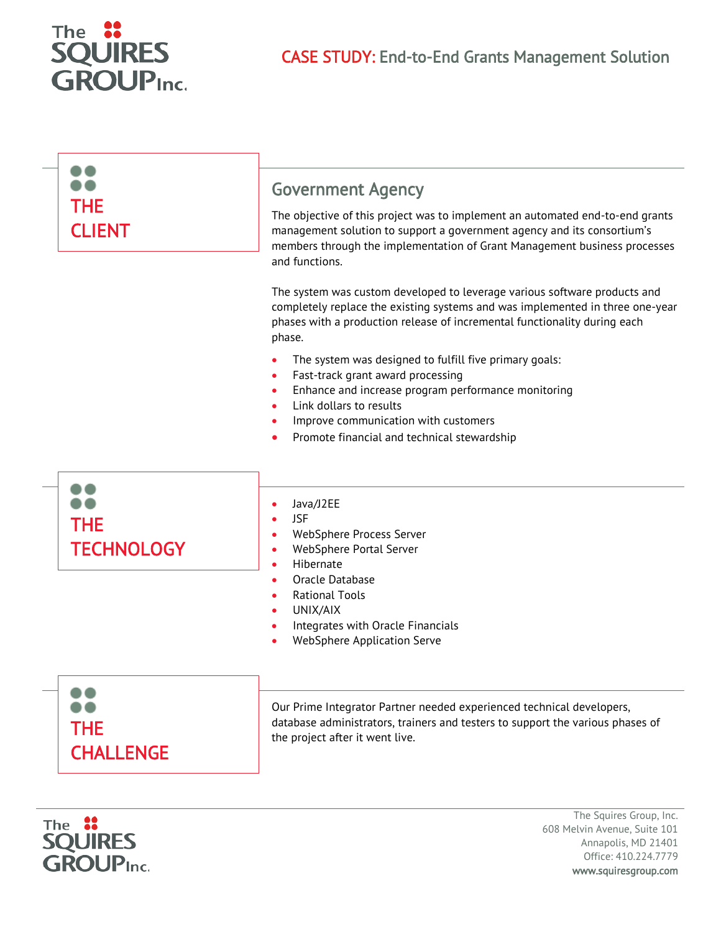

| <b>THE</b>                      | <b>Government Agency</b>                                                                                                                                                                                                                                                                                                                                                                                                                                                                                                                                                                                    |
|---------------------------------|-------------------------------------------------------------------------------------------------------------------------------------------------------------------------------------------------------------------------------------------------------------------------------------------------------------------------------------------------------------------------------------------------------------------------------------------------------------------------------------------------------------------------------------------------------------------------------------------------------------|
| <b>CLIENT</b>                   | The objective of this project was to implement an automated end-to-end grants<br>management solution to support a government agency and its consortium's<br>members through the implementation of Grant Management business processes<br>and functions.<br>The system was custom developed to leverage various software products and<br>completely replace the existing systems and was implemented in three one-year<br>phases with a production release of incremental functionality during each<br>phase.<br>The system was designed to fulfill five primary goals:<br>Fast-track grant award processing |
|                                 | Enhance and increase program performance monitoring<br>Link dollars to results<br>Improve communication with customers<br>Promote financial and technical stewardship                                                                                                                                                                                                                                                                                                                                                                                                                                       |
| <b>THE</b><br><b>TECHNOLOGY</b> | Java/J2EE<br><b>JSF</b><br>WebSphere Process Server<br>WebSphere Portal Server<br>Hibernate<br>Oracle Database<br><b>Rational Tools</b><br>UNIX/AIX                                                                                                                                                                                                                                                                                                                                                                                                                                                         |
|                                 | Integrates with Oracle Financials<br>WebSphere Application Serve                                                                                                                                                                                                                                                                                                                                                                                                                                                                                                                                            |
| <b>THE</b><br><b>CHALLENGE</b>  | Our Prime Integrator Partner needed experienced technical developers,<br>database administrators, trainers and testers to support the various phases of<br>the project after it went live.                                                                                                                                                                                                                                                                                                                                                                                                                  |



The Squires Group, Inc. 608 Melvin Avenue, Suite 101 Annapolis, MD 21401 Office: 410.224.7779 www.squiresgroup.com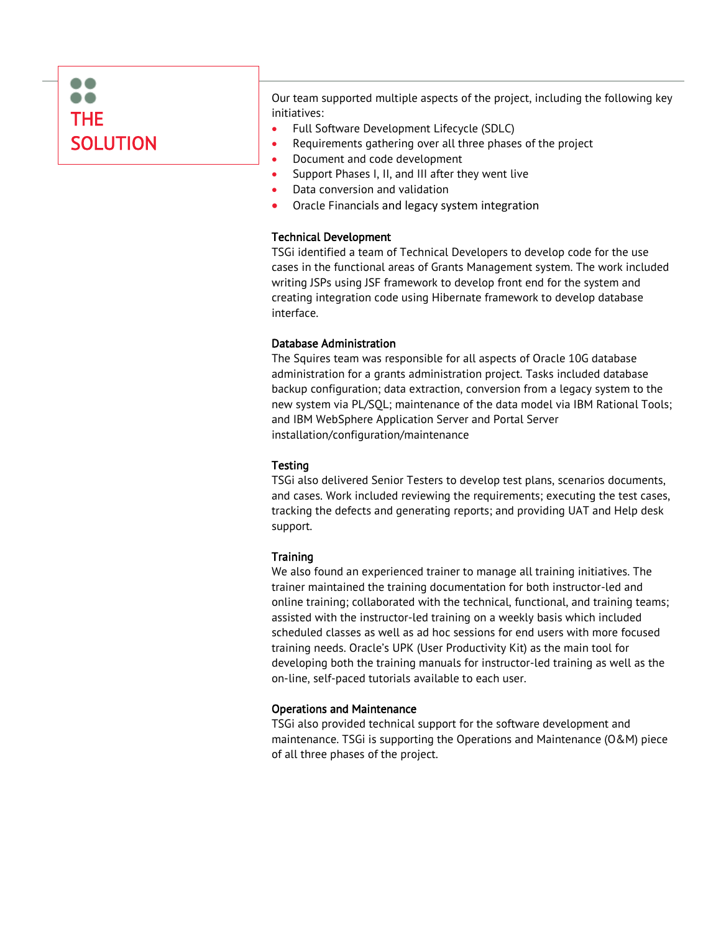

Our team supported multiple aspects of the project, including the following key initiatives:

- Full Software Development Lifecycle (SDLC)
- Requirements gathering over all three phases of the project
- Document and code development
- Support Phases I, II, and III after they went live
- Data conversion and validation
- Oracle Financials and legacy system integration

### Technical Development

TSGi identified a team of Technical Developers to develop code for the use cases in the functional areas of Grants Management system. The work included writing JSPs using JSF framework to develop front end for the system and creating integration code using Hibernate framework to develop database interface.

### Database Administration

The Squires team was responsible for all aspects of Oracle 10G database administration for a grants administration project. Tasks included database backup configuration; data extraction, conversion from a legacy system to the new system via PL/SQL; maintenance of the data model via IBM Rational Tools; and IBM WebSphere Application Server and Portal Server installation/configuration/maintenance

# **Testing**

TSGi also delivered Senior Testers to develop test plans, scenarios documents, and cases. Work included reviewing the requirements; executing the test cases, tracking the defects and generating reports; and providing UAT and Help desk support.

# **Training**

We also found an experienced trainer to manage all training initiatives. The trainer maintained the training documentation for both instructor-led and online training; collaborated with the technical, functional, and training teams; assisted with the instructor-led training on a weekly basis which included scheduled classes as well as ad hoc sessions for end users with more focused training needs. Oracle's UPK (User Productivity Kit) as the main tool for developing both the training manuals for instructor-led training as well as the on-line, self-paced tutorials available to each user.

#### Operations and Maintenance

TSGi also provided technical support for the software development and maintenance. TSGi is supporting the Operations and Maintenance (O&M) piece of all three phases of the project.